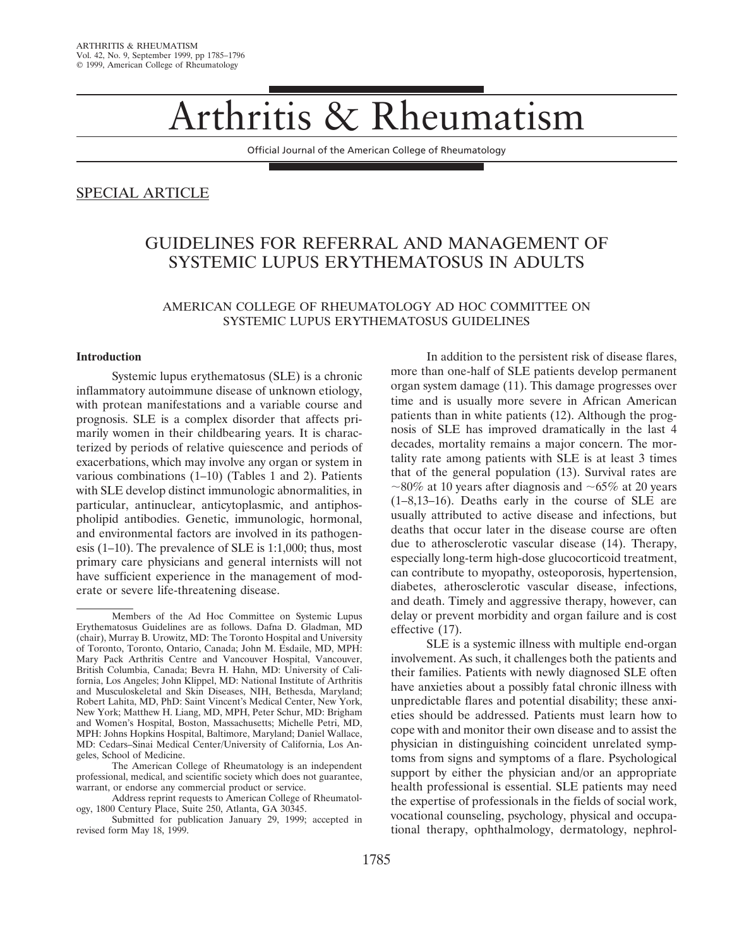# Arthritis & Rheumatism

Official Journal of the American College of Rheumatology

# SPECIAL ARTICLE

# GUIDELINES FOR REFERRAL AND MANAGEMENT OF SYSTEMIC LUPUS ERYTHEMATOSUS IN ADULTS

### AMERICAN COLLEGE OF RHEUMATOLOGY AD HOC COMMITTEE ON SYSTEMIC LUPUS ERYTHEMATOSUS GUIDELINES

#### **Introduction**

Systemic lupus erythematosus (SLE) is a chronic inflammatory autoimmune disease of unknown etiology, with protean manifestations and a variable course and prognosis. SLE is a complex disorder that affects primarily women in their childbearing years. It is characterized by periods of relative quiescence and periods of exacerbations, which may involve any organ or system in various combinations (1–10) (Tables 1 and 2). Patients with SLE develop distinct immunologic abnormalities, in particular, antinuclear, anticytoplasmic, and antiphospholipid antibodies. Genetic, immunologic, hormonal, and environmental factors are involved in its pathogenesis (1–10). The prevalence of SLE is 1:1,000; thus, most primary care physicians and general internists will not have sufficient experience in the management of moderate or severe life-threatening disease.

The American College of Rheumatology is an independent professional, medical, and scientific society which does not guarantee, warrant, or endorse any commercial product or service.

Address reprint requests to American College of Rheumatology, 1800 Century Place, Suite 250, Atlanta, GA 30345.

In addition to the persistent risk of disease flares, more than one-half of SLE patients develop permanent organ system damage (11). This damage progresses over time and is usually more severe in African American patients than in white patients (12). Although the prognosis of SLE has improved dramatically in the last 4 decades, mortality remains a major concern. The mortality rate among patients with SLE is at least 3 times that of the general population (13). Survival rates are  $\sim$ 80% at 10 years after diagnosis and  $\sim$  65% at 20 years (1–8,13–16). Deaths early in the course of SLE are usually attributed to active disease and infections, but deaths that occur later in the disease course are often due to atherosclerotic vascular disease (14). Therapy, especially long-term high-dose glucocorticoid treatment, can contribute to myopathy, osteoporosis, hypertension, diabetes, atherosclerotic vascular disease, infections, and death. Timely and aggressive therapy, however, can delay or prevent morbidity and organ failure and is cost effective (17).

SLE is a systemic illness with multiple end-organ involvement. As such, it challenges both the patients and their families. Patients with newly diagnosed SLE often have anxieties about a possibly fatal chronic illness with unpredictable flares and potential disability; these anxieties should be addressed. Patients must learn how to cope with and monitor their own disease and to assist the physician in distinguishing coincident unrelated symptoms from signs and symptoms of a flare. Psychological support by either the physician and/or an appropriate health professional is essential. SLE patients may need the expertise of professionals in the fields of social work, vocational counseling, psychology, physical and occupational therapy, ophthalmology, dermatology, nephrol-

Members of the Ad Hoc Committee on Systemic Lupus Erythematosus Guidelines are as follows. Dafna D. Gladman, MD (chair), Murray B. Urowitz, MD: The Toronto Hospital and University of Toronto, Toronto, Ontario, Canada; John M. Esdaile, MD, MPH: Mary Pack Arthritis Centre and Vancouver Hospital, Vancouver, British Columbia, Canada; Bevra H. Hahn, MD: University of California, Los Angeles; John Klippel, MD: National Institute of Arthritis and Musculoskeletal and Skin Diseases, NIH, Bethesda, Maryland; Robert Lahita, MD, PhD: Saint Vincent's Medical Center, New York, New York; Matthew H. Liang, MD, MPH, Peter Schur, MD: Brigham and Women's Hospital, Boston, Massachusetts; Michelle Petri, MD, MPH: Johns Hopkins Hospital, Baltimore, Maryland; Daniel Wallace, MD: Cedars–Sinai Medical Center/University of California, Los Angeles, School of Medicine.

Submitted for publication January 29, 1999; accepted in revised form May 18, 1999.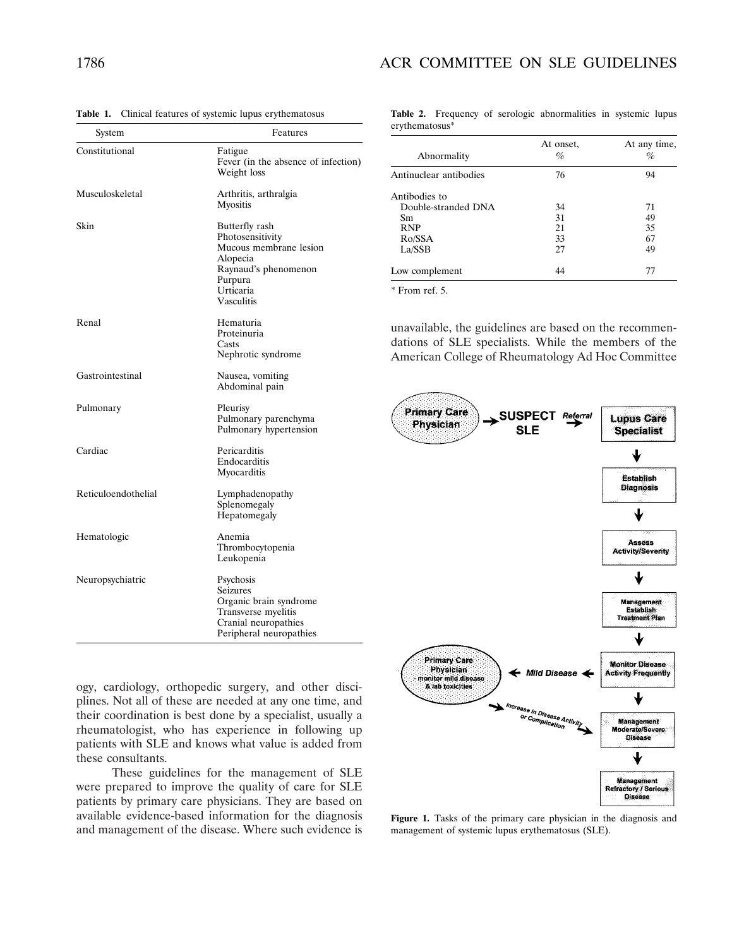| System              | Features                                                                                                                               |  |  |
|---------------------|----------------------------------------------------------------------------------------------------------------------------------------|--|--|
| Constitutional      | Fatigue<br>Fever (in the absence of infection)<br>Weight loss                                                                          |  |  |
| Musculoskeletal     | Arthritis, arthralgia<br><b>Myositis</b>                                                                                               |  |  |
| Skin                | Butterfly rash<br>Photosensitivity<br>Mucous membrane lesion<br>Alopecia<br>Raynaud's phenomenon<br>Purpura<br>Urticaria<br>Vasculitis |  |  |
| Renal               | Hematuria<br>Proteinuria<br>Casts<br>Nephrotic syndrome                                                                                |  |  |
| Gastrointestinal    | Nausea, vomiting<br>Abdominal pain                                                                                                     |  |  |
| Pulmonary           | Pleurisy<br>Pulmonary parenchyma<br>Pulmonary hypertension                                                                             |  |  |
| Cardiac             | Pericarditis<br>Endocarditis<br>Myocarditis                                                                                            |  |  |
| Reticuloendothelial | Lymphadenopathy<br>Splenomegaly<br>Hepatomegaly                                                                                        |  |  |
| Hematologic         | Anemia<br>Thrombocytopenia<br>Leukopenia                                                                                               |  |  |
| Neuropsychiatric    | Psychosis<br>Seizures<br>Organic brain syndrome<br>Transverse myelitis<br>Cranial neuropathies<br>Peripheral neuropathies              |  |  |

**Table 1.** Clinical features of systemic lupus erythematosus

ogy, cardiology, orthopedic surgery, and other disciplines. Not all of these are needed at any one time, and their coordination is best done by a specialist, usually a rheumatologist, who has experience in following up patients with SLE and knows what value is added from these consultants.

These guidelines for the management of SLE were prepared to improve the quality of care for SLE patients by primary care physicians. They are based on available evidence-based information for the diagnosis and management of the disease. Where such evidence is

|                |  |  | <b>Table 2.</b> Frequency of serologic abnormalities in systemic lupus |  |  |
|----------------|--|--|------------------------------------------------------------------------|--|--|
| erythematosus* |  |  |                                                                        |  |  |

|                        | At onset, | At any time, |
|------------------------|-----------|--------------|
| Abnormality            | %         | %            |
| Antinuclear antibodies | 76        | 94           |
| Antibodies to          |           |              |
| Double-stranded DNA    | 34        | 71           |
| Sm                     | 31        | 49           |
| <b>RNP</b>             | 21        | 35           |
| Ro/SSA                 | 33        | 67           |
| La/SSB                 | 27        | 49           |
| Low complement         | 44        | 77           |

\* From ref. 5.

unavailable, the guidelines are based on the recommendations of SLE specialists. While the members of the American College of Rheumatology Ad Hoc Committee



**Figure 1.** Tasks of the primary care physician in the diagnosis and management of systemic lupus erythematosus (SLE).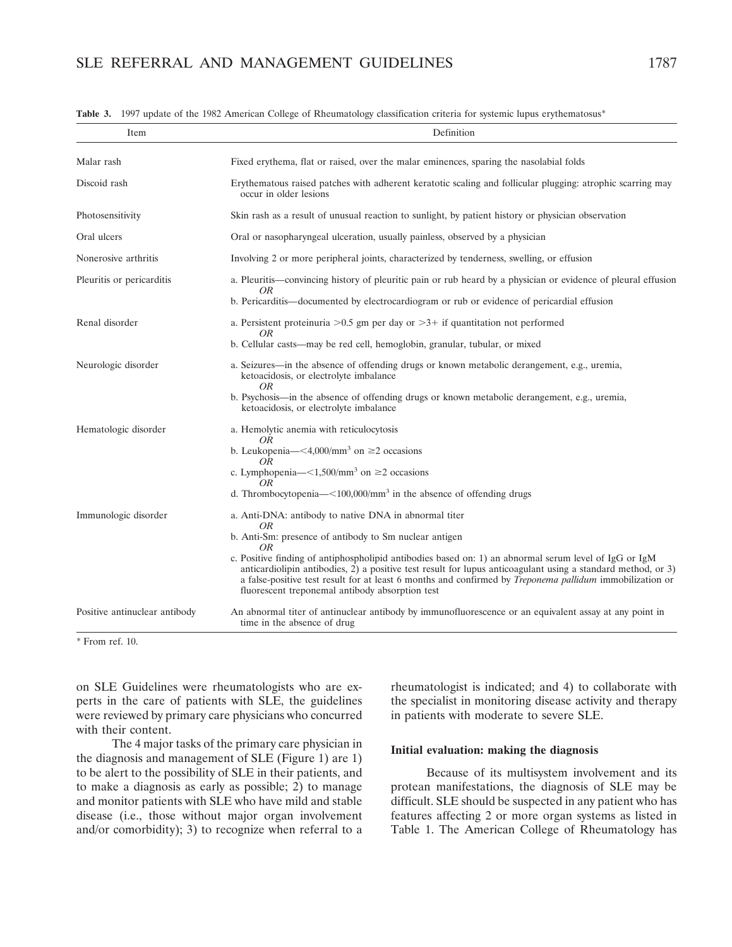## SLE REFERRAL AND MANAGEMENT GUIDELINES 1787

| Item                          | Definition                                                                                                                                                                                                                                                                                                                                                                           |  |  |  |
|-------------------------------|--------------------------------------------------------------------------------------------------------------------------------------------------------------------------------------------------------------------------------------------------------------------------------------------------------------------------------------------------------------------------------------|--|--|--|
| Malar rash                    | Fixed erythema, flat or raised, over the malar eminences, sparing the nasolabial folds                                                                                                                                                                                                                                                                                               |  |  |  |
| Discoid rash                  | Erythematous raised patches with adherent keratotic scaling and follicular plugging: atrophic scarring may<br>occur in older lesions                                                                                                                                                                                                                                                 |  |  |  |
| Photosensitivity              | Skin rash as a result of unusual reaction to sunlight, by patient history or physician observation                                                                                                                                                                                                                                                                                   |  |  |  |
| Oral ulcers                   | Oral or nasopharyngeal ulceration, usually painless, observed by a physician                                                                                                                                                                                                                                                                                                         |  |  |  |
| Nonerosive arthritis          | Involving 2 or more peripheral joints, characterized by tenderness, swelling, or effusion                                                                                                                                                                                                                                                                                            |  |  |  |
| Pleuritis or pericarditis     | a. Pleuritis—convincing history of pleuritic pain or rub heard by a physician or evidence of pleural effusion<br>OR                                                                                                                                                                                                                                                                  |  |  |  |
|                               | b. Pericarditis—documented by electrocardiogram or rub or evidence of pericardial effusion                                                                                                                                                                                                                                                                                           |  |  |  |
| Renal disorder                | a. Persistent proteinuria $>0.5$ gm per day or $>3+$ if quantitation not performed                                                                                                                                                                                                                                                                                                   |  |  |  |
|                               | <i>OR</i><br>b. Cellular casts—may be red cell, hemoglobin, granular, tubular, or mixed                                                                                                                                                                                                                                                                                              |  |  |  |
| Neurologic disorder           | a. Seizures—in the absence of offending drugs or known metabolic derangement, e.g., uremia,<br>ketoacidosis, or electrolyte imbalance<br>OR                                                                                                                                                                                                                                          |  |  |  |
|                               | b. Psychosis—in the absence of offending drugs or known metabolic derangement, e.g., uremia,<br>ketoacidosis, or electrolyte imbalance                                                                                                                                                                                                                                               |  |  |  |
| Hematologic disorder          | a. Hemolytic anemia with reticulocytosis<br><i>OR</i>                                                                                                                                                                                                                                                                                                                                |  |  |  |
|                               | b. Leukopenia— $\leq 4,000/\text{mm}^3$ on $\geq 2$ occasions<br>OR                                                                                                                                                                                                                                                                                                                  |  |  |  |
|                               | c. Lymphopenia— $\leq$ 1,500/mm <sup>3</sup> on $\geq$ 2 occasions<br>OR                                                                                                                                                                                                                                                                                                             |  |  |  |
|                               | d. Thrombocytopenia— $\leq$ 100,000/mm <sup>3</sup> in the absence of offending drugs                                                                                                                                                                                                                                                                                                |  |  |  |
| Immunologic disorder          | a. Anti-DNA: antibody to native DNA in abnormal titer<br>OR                                                                                                                                                                                                                                                                                                                          |  |  |  |
|                               | b. Anti-Sm: presence of antibody to Sm nuclear antigen<br>OR                                                                                                                                                                                                                                                                                                                         |  |  |  |
|                               | c. Positive finding of antiphospholipid antibodies based on: 1) an abnormal serum level of IgG or IgM<br>anticardiolipin antibodies, 2) a positive test result for lupus anticoagulant using a standard method, or 3)<br>a false-positive test result for at least 6 months and confirmed by Treponema pallidum immobilization or<br>fluorescent treponemal antibody absorption test |  |  |  |
| Positive antinuclear antibody | An abnormal titer of antinuclear antibody by immunofluorescence or an equivalent assay at any point in<br>time in the absence of drug                                                                                                                                                                                                                                                |  |  |  |

Table 3. 1997 update of the 1982 American College of Rheumatology classification criteria for systemic lupus erythematosus<sup>\*</sup>

\* From ref. 10.

on SLE Guidelines were rheumatologists who are experts in the care of patients with SLE, the guidelines were reviewed by primary care physicians who concurred with their content.

The 4 major tasks of the primary care physician in the diagnosis and management of SLE (Figure 1) are 1) to be alert to the possibility of SLE in their patients, and to make a diagnosis as early as possible; 2) to manage and monitor patients with SLE who have mild and stable disease (i.e., those without major organ involvement and/or comorbidity); 3) to recognize when referral to a

rheumatologist is indicated; and 4) to collaborate with the specialist in monitoring disease activity and therapy in patients with moderate to severe SLE.

#### **Initial evaluation: making the diagnosis**

Because of its multisystem involvement and its protean manifestations, the diagnosis of SLE may be difficult. SLE should be suspected in any patient who has features affecting 2 or more organ systems as listed in Table 1. The American College of Rheumatology has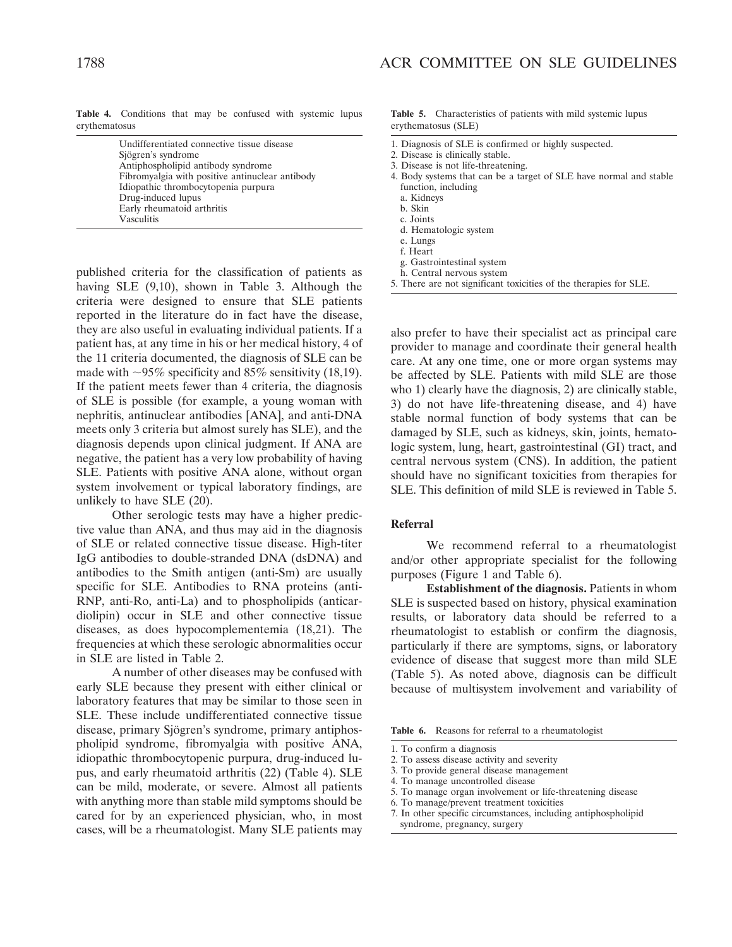Table 4. Conditions that may be confused with systemic lupus erythematosus

| Undifferentiated connective tissue disease<br>Sjögren's syndrome |
|------------------------------------------------------------------|
| Antiphospholipid antibody syndrome                               |
| Fibromyalgia with positive antinuclear antibody                  |
| Idiopathic thrombocytopenia purpura                              |
| Drug-induced lupus                                               |
| Early rheumatoid arthritis                                       |
| <b>Vasculitis</b>                                                |

published criteria for the classification of patients as having SLE (9,10), shown in Table 3. Although the criteria were designed to ensure that SLE patients reported in the literature do in fact have the disease, they are also useful in evaluating individual patients. If a patient has, at any time in his or her medical history, 4 of the 11 criteria documented, the diagnosis of SLE can be made with  $\sim$ 95% specificity and 85% sensitivity (18,19). If the patient meets fewer than 4 criteria, the diagnosis of SLE is possible (for example, a young woman with nephritis, antinuclear antibodies [ANA], and anti-DNA meets only 3 criteria but almost surely has SLE), and the diagnosis depends upon clinical judgment. If ANA are negative, the patient has a very low probability of having SLE. Patients with positive ANA alone, without organ system involvement or typical laboratory findings, are unlikely to have SLE (20).

Other serologic tests may have a higher predictive value than ANA, and thus may aid in the diagnosis of SLE or related connective tissue disease. High-titer IgG antibodies to double-stranded DNA (dsDNA) and antibodies to the Smith antigen (anti-Sm) are usually specific for SLE. Antibodies to RNA proteins (anti-RNP, anti-Ro, anti-La) and to phospholipids (anticardiolipin) occur in SLE and other connective tissue diseases, as does hypocomplementemia (18,21). The frequencies at which these serologic abnormalities occur in SLE are listed in Table 2.

A number of other diseases may be confused with early SLE because they present with either clinical or laboratory features that may be similar to those seen in SLE. These include undifferentiated connective tissue disease, primary Sjögren's syndrome, primary antiphospholipid syndrome, fibromyalgia with positive ANA, idiopathic thrombocytopenic purpura, drug-induced lupus, and early rheumatoid arthritis (22) (Table 4). SLE can be mild, moderate, or severe. Almost all patients with anything more than stable mild symptoms should be cared for by an experienced physician, who, in most cases, will be a rheumatologist. Many SLE patients may

**Table 5.** Characteristics of patients with mild systemic lupus erythematosus (SLE)

- 1. Diagnosis of SLE is confirmed or highly suspected.
- 2. Disease is clinically stable.
- 3. Disease is not life-threatening.
- 4. Body systems that can be a target of SLE have normal and stable function, including
	- a. Kidneys
	- b. Skin
	- c. Joints
	- d. Hematologic system e. Lungs
	- f. Heart
	-
	- g. Gastrointestinal system h. Central nervous system
- 5. There are not significant toxicities of the therapies for SLE.

also prefer to have their specialist act as principal care provider to manage and coordinate their general health care. At any one time, one or more organ systems may be affected by SLE. Patients with mild SLE are those who 1) clearly have the diagnosis, 2) are clinically stable, 3) do not have life-threatening disease, and 4) have stable normal function of body systems that can be damaged by SLE, such as kidneys, skin, joints, hematologic system, lung, heart, gastrointestinal (GI) tract, and central nervous system (CNS). In addition, the patient should have no significant toxicities from therapies for SLE. This definition of mild SLE is reviewed in Table 5.

#### **Referral**

We recommend referral to a rheumatologist and/or other appropriate specialist for the following purposes (Figure 1 and Table 6).

**Establishment of the diagnosis.** Patients in whom SLE is suspected based on history, physical examination results, or laboratory data should be referred to a rheumatologist to establish or confirm the diagnosis, particularly if there are symptoms, signs, or laboratory evidence of disease that suggest more than mild SLE (Table 5). As noted above, diagnosis can be difficult because of multisystem involvement and variability of

**Table 6.** Reasons for referral to a rheumatologist

- 1. To confirm a diagnosis
- 2. To assess disease activity and severity
- 3. To provide general disease management
- 4. To manage uncontrolled disease
- 5. To manage organ involvement or life-threatening disease
- 6. To manage/prevent treatment toxicities
- 7. In other specific circumstances, including antiphospholipid syndrome, pregnancy, surgery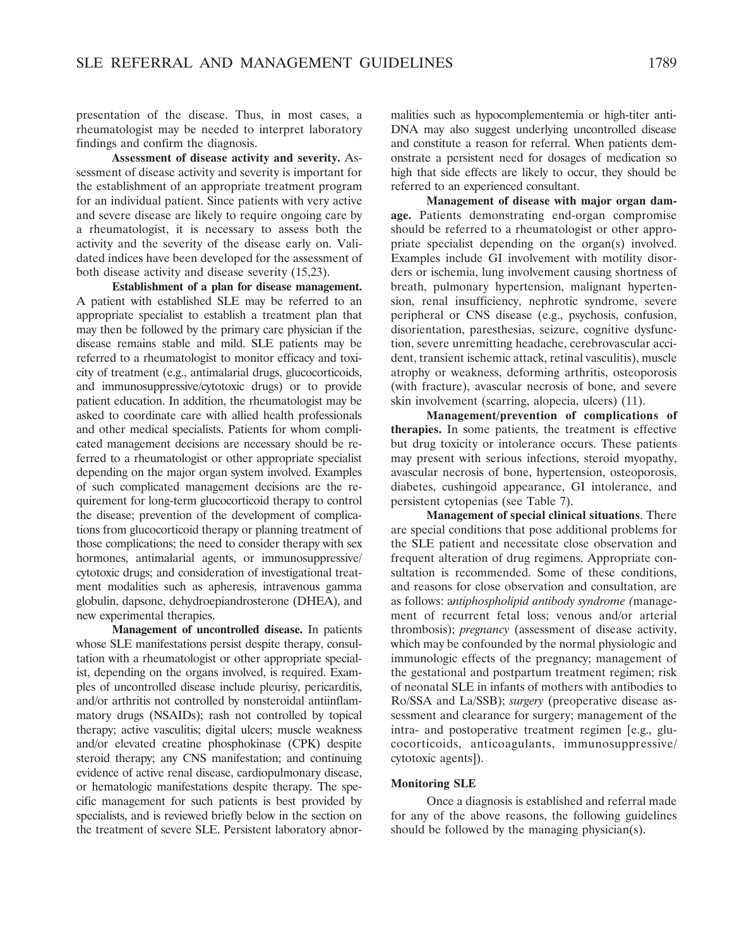presentation of the disease. Thus, in most cases, a rheumatologist may be needed to interpret laboratory findings and confirm the diagnosis.

**Assessment of disease activity and severity.** Assessment of disease activity and severity is important for the establishment of an appropriate treatment program for an individual patient. Since patients with very active and severe disease are likely to require ongoing care by a rheumatologist, it is necessary to assess both the activity and the severity of the disease early on. Validated indices have been developed for the assessment of both disease activity and disease severity (15,23).

**Establishment of a plan for disease management.** A patient with established SLE may be referred to an appropriate specialist to establish a treatment plan that may then be followed by the primary care physician if the disease remains stable and mild. SLE patients may be referred to a rheumatologist to monitor efficacy and toxicity of treatment (e.g., antimalarial drugs, glucocorticoids, and immunosuppressive/cytotoxic drugs) or to provide patient education. In addition, the rheumatologist may be asked to coordinate care with allied health professionals and other medical specialists. Patients for whom complicated management decisions are necessary should be referred to a rheumatologist or other appropriate specialist depending on the major organ system involved. Examples of such complicated management decisions are the requirement for long-term glucocorticoid therapy to control the disease; prevention of the development of complications from glucocorticoid therapy or planning treatment of those complications; the need to consider therapy with sex hormones, antimalarial agents, or immunosuppressive/ cytotoxic drugs; and consideration of investigational treatment modalities such as apheresis, intravenous gamma globulin, dapsone, dehydroepiandrosterone (DHEA), and new experimental therapies.

**Management of uncontrolled disease.** In patients whose SLE manifestations persist despite therapy, consultation with a rheumatologist or other appropriate specialist, depending on the organs involved, is required. Examples of uncontrolled disease include pleurisy, pericarditis, and/or arthritis not controlled by nonsteroidal antiinflammatory drugs (NSAIDs); rash not controlled by topical therapy; active vasculitis; digital ulcers; muscle weakness and/or elevated creatine phosphokinase (CPK) despite steroid therapy; any CNS manifestation; and continuing evidence of active renal disease, cardiopulmonary disease, or hematologic manifestations despite therapy. The specific management for such patients is best provided by specialists, and is reviewed briefly below in the section on the treatment of severe SLE. Persistent laboratory abnor-

malities such as hypocomplementemia or high-titer anti-DNA may also suggest underlying uncontrolled disease and constitute a reason for referral. When patients demonstrate a persistent need for dosages of medication so high that side effects are likely to occur, they should be referred to an experienced consultant.

**Management of disease with major organ damage.** Patients demonstrating end-organ compromise should be referred to a rheumatologist or other appropriate specialist depending on the organ(s) involved. Examples include GI involvement with motility disorders or ischemia, lung involvement causing shortness of breath, pulmonary hypertension, malignant hypertension, renal insufficiency, nephrotic syndrome, severe peripheral or CNS disease (e.g., psychosis, confusion, disorientation, paresthesias, seizure, cognitive dysfunction, severe unremitting headache, cerebrovascular accident, transient ischemic attack, retinal vasculitis), muscle atrophy or weakness, deforming arthritis, osteoporosis (with fracture), avascular necrosis of bone, and severe skin involvement (scarring, alopecia, ulcers) (11).

**Management/prevention of complications of therapies.** In some patients, the treatment is effective but drug toxicity or intolerance occurs. These patients may present with serious infections, steroid myopathy, avascular necrosis of bone, hypertension, osteoporosis, diabetes, cushingoid appearance, GI intolerance, and persistent cytopenias (see Table 7).

**Management of special clinical situations**. There are special conditions that pose additional problems for the SLE patient and necessitate close observation and frequent alteration of drug regimens. Appropriate consultation is recommended. Some of these conditions, and reasons for close observation and consultation, are as follows: a*ntiphospholipid antibody syndrome (*management of recurrent fetal loss; venous and/or arterial thrombosis); *pregnancy* (assessment of disease activity, which may be confounded by the normal physiologic and immunologic effects of the pregnancy; management of the gestational and postpartum treatment regimen; risk of neonatal SLE in infants of mothers with antibodies to Ro/SSA and La/SSB); *surgery* (preoperative disease assessment and clearance for surgery; management of the intra- and postoperative treatment regimen [e.g., glucocorticoids, anticoagulants, immunosuppressive/ cytotoxic agents]).

#### **Monitoring SLE**

Once a diagnosis is established and referral made for any of the above reasons, the following guidelines should be followed by the managing physician(s).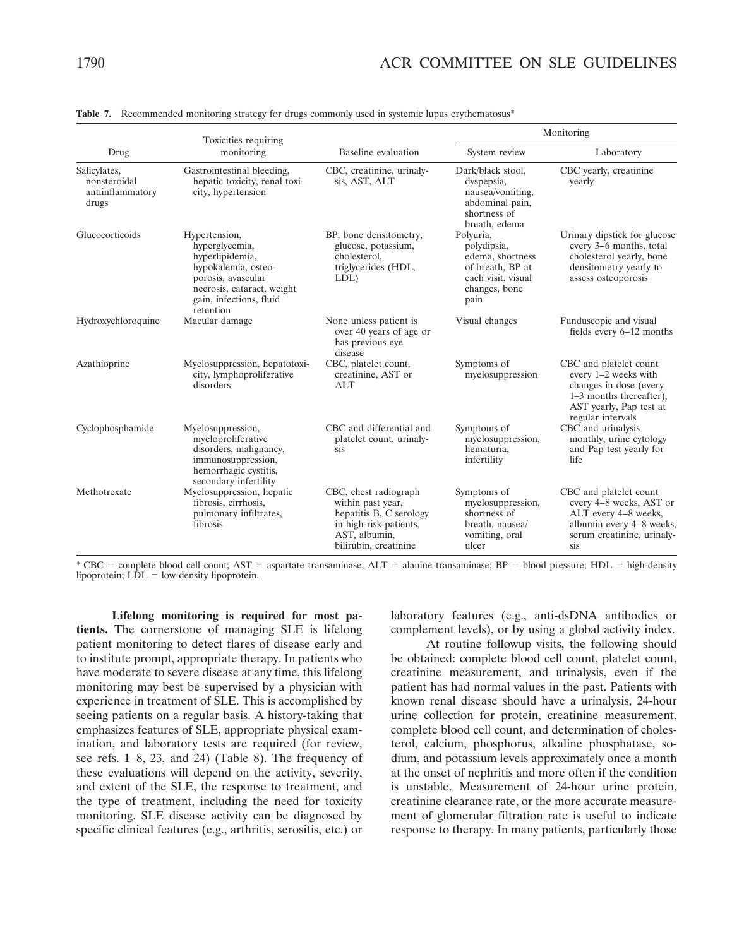|                                                           | Toxicities requiring                                                                                                                                                  |                                                                                                                                           | Monitoring                                                                                                      |                                                                                                                                                     |  |
|-----------------------------------------------------------|-----------------------------------------------------------------------------------------------------------------------------------------------------------------------|-------------------------------------------------------------------------------------------------------------------------------------------|-----------------------------------------------------------------------------------------------------------------|-----------------------------------------------------------------------------------------------------------------------------------------------------|--|
| Drug                                                      | monitoring                                                                                                                                                            | Baseline evaluation                                                                                                                       | System review                                                                                                   | Laboratory                                                                                                                                          |  |
| Salicylates,<br>nonsteroidal<br>antiinflammatory<br>drugs | Gastrointestinal bleeding,<br>hepatic toxicity, renal toxi-<br>city, hypertension                                                                                     | CBC, creatinine, urinaly-<br>sis, AST, ALT                                                                                                | Dark/black stool,<br>dyspepsia,<br>nausea/vomiting,<br>abdominal pain,<br>shortness of<br>breath, edema         | CBC yearly, creatinine<br>yearly                                                                                                                    |  |
| Glucocorticoids                                           | Hypertension,<br>hyperglycemia,<br>hyperlipidemia,<br>hypokalemia, osteo-<br>porosis, avascular<br>necrosis, cataract, weight<br>gain, infections, fluid<br>retention | BP, bone densitometry,<br>glucose, potassium,<br>cholesterol,<br>triglycerides (HDL,<br>LDL)                                              | Polyuria,<br>polydipsia,<br>edema, shortness<br>of breath, BP at<br>each visit, visual<br>changes, bone<br>pain | Urinary dipstick for glucose<br>every 3-6 months, total<br>cholesterol yearly, bone<br>densitometry yearly to<br>assess osteoporosis                |  |
| Hydroxychloroquine                                        | Macular damage                                                                                                                                                        | None unless patient is<br>over 40 years of age or<br>has previous eye<br>disease                                                          | Visual changes                                                                                                  | Funduscopic and visual<br>fields every 6-12 months                                                                                                  |  |
| Azathioprine                                              | Myelosuppression, hepatotoxi-<br>city, lymphoproliferative<br>disorders                                                                                               | CBC, platelet count,<br>creatinine, AST or<br><b>ALT</b>                                                                                  | Symptoms of<br>myelosuppression                                                                                 | CBC and platelet count<br>every 1-2 weeks with<br>changes in dose (every<br>1–3 months thereafter),<br>AST yearly, Pap test at<br>regular intervals |  |
| Cyclophosphamide                                          | Myelosuppression,<br>myeloproliferative<br>disorders, malignancy,<br>immunosuppression,<br>hemorrhagic cystitis,<br>secondary infertility                             | CBC and differential and<br>platelet count, urinaly-<br>sis                                                                               | Symptoms of<br>myelosuppression,<br>hematuria.<br>infertility                                                   | CBC and urinalysis<br>monthly, urine cytology<br>and Pap test yearly for<br>life                                                                    |  |
| Methotrexate                                              | Myelosuppression, hepatic<br>fibrosis, cirrhosis,<br>pulmonary infiltrates,<br>fibrosis                                                                               | CBC, chest radiograph<br>within past year,<br>hepatitis B, C serology<br>in high-risk patients,<br>AST, albumin,<br>bilirubin, creatinine | Symptoms of<br>myelosuppression,<br>shortness of<br>breath, nausea/<br>vomiting, oral<br>ulcer                  | CBC and platelet count<br>every 4-8 weeks, AST or<br>ALT every 4-8 weeks,<br>albumin every 4-8 weeks,<br>serum creatinine, urinaly-<br>sis          |  |

**Table 7.** Recommended monitoring strategy for drugs commonly used in systemic lupus erythematosus<sup>\*</sup>

\* CBC = complete blood cell count; AST = aspartate transaminase; ALT = alanine transaminase; BP = blood pressure; HDL = high-density lipoprotein;  $L\overline{D}L =$  low-density lipoprotein.

**Lifelong monitoring is required for most patients.** The cornerstone of managing SLE is lifelong patient monitoring to detect flares of disease early and to institute prompt, appropriate therapy. In patients who have moderate to severe disease at any time, this lifelong monitoring may best be supervised by a physician with experience in treatment of SLE. This is accomplished by seeing patients on a regular basis. A history-taking that emphasizes features of SLE, appropriate physical examination, and laboratory tests are required (for review, see refs. 1–8, 23, and 24) (Table 8). The frequency of these evaluations will depend on the activity, severity, and extent of the SLE, the response to treatment, and the type of treatment, including the need for toxicity monitoring. SLE disease activity can be diagnosed by specific clinical features (e.g., arthritis, serositis, etc.) or

laboratory features (e.g., anti-dsDNA antibodies or complement levels), or by using a global activity index.

At routine followup visits, the following should be obtained: complete blood cell count, platelet count, creatinine measurement, and urinalysis, even if the patient has had normal values in the past. Patients with known renal disease should have a urinalysis, 24-hour urine collection for protein, creatinine measurement, complete blood cell count, and determination of cholesterol, calcium, phosphorus, alkaline phosphatase, sodium, and potassium levels approximately once a month at the onset of nephritis and more often if the condition is unstable. Measurement of 24-hour urine protein, creatinine clearance rate, or the more accurate measurement of glomerular filtration rate is useful to indicate response to therapy. In many patients, particularly those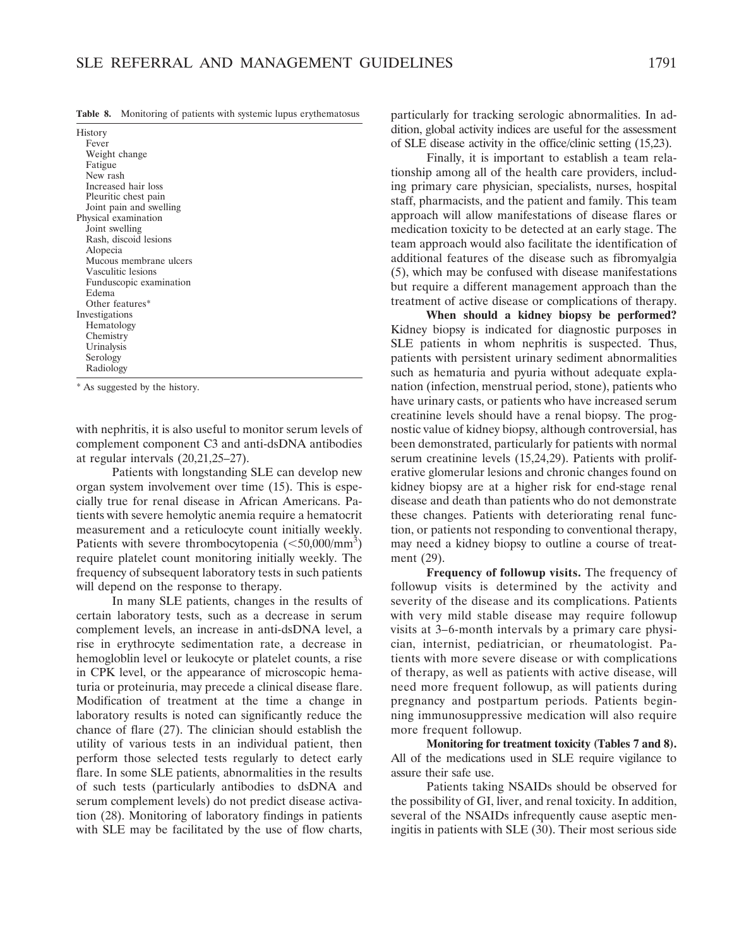|  |  |  |  | Table 8. Monitoring of patients with systemic lupus erythematosus |
|--|--|--|--|-------------------------------------------------------------------|
|--|--|--|--|-------------------------------------------------------------------|

| History                 |
|-------------------------|
| Fever                   |
| Weight change           |
| Fatigue                 |
| New rash                |
| Increased hair loss     |
| Pleuritic chest pain    |
| Joint pain and swelling |
| Physical examination    |
| Joint swelling          |
| Rash, discoid lesions   |
| Alopecia                |
| Mucous membrane ulcers  |
| Vasculitic lesions      |
| Funduscopic examination |
| Edema                   |
| Other features*         |
| Investigations          |
| Hematology              |
| Chemistry               |
| Urinalysis              |
| Serology                |
| Radiology               |
|                         |

\* As suggested by the history.

with nephritis, it is also useful to monitor serum levels of complement component C3 and anti-dsDNA antibodies at regular intervals (20,21,25–27).

Patients with longstanding SLE can develop new organ system involvement over time (15). This is especially true for renal disease in African Americans. Patients with severe hemolytic anemia require a hematocrit measurement and a reticulocyte count initially weekly. Patients with severe thrombocytopenia  $(<50,000/\text{mm}^3)$ require platelet count monitoring initially weekly. The frequency of subsequent laboratory tests in such patients will depend on the response to therapy.

In many SLE patients, changes in the results of certain laboratory tests, such as a decrease in serum complement levels, an increase in anti-dsDNA level, a rise in erythrocyte sedimentation rate, a decrease in hemogloblin level or leukocyte or platelet counts, a rise in CPK level, or the appearance of microscopic hematuria or proteinuria, may precede a clinical disease flare. Modification of treatment at the time a change in laboratory results is noted can significantly reduce the chance of flare (27). The clinician should establish the utility of various tests in an individual patient, then perform those selected tests regularly to detect early flare. In some SLE patients, abnormalities in the results of such tests (particularly antibodies to dsDNA and serum complement levels) do not predict disease activation (28). Monitoring of laboratory findings in patients with SLE may be facilitated by the use of flow charts,

particularly for tracking serologic abnormalities. In addition, global activity indices are useful for the assessment of SLE disease activity in the office/clinic setting (15,23).

Finally, it is important to establish a team relationship among all of the health care providers, including primary care physician, specialists, nurses, hospital staff, pharmacists, and the patient and family. This team approach will allow manifestations of disease flares or medication toxicity to be detected at an early stage. The team approach would also facilitate the identification of additional features of the disease such as fibromyalgia (5), which may be confused with disease manifestations but require a different management approach than the treatment of active disease or complications of therapy.

**When should a kidney biopsy be performed?** Kidney biopsy is indicated for diagnostic purposes in SLE patients in whom nephritis is suspected. Thus, patients with persistent urinary sediment abnormalities such as hematuria and pyuria without adequate explanation (infection, menstrual period, stone), patients who have urinary casts, or patients who have increased serum creatinine levels should have a renal biopsy. The prognostic value of kidney biopsy, although controversial, has been demonstrated, particularly for patients with normal serum creatinine levels (15,24,29). Patients with proliferative glomerular lesions and chronic changes found on kidney biopsy are at a higher risk for end-stage renal disease and death than patients who do not demonstrate these changes. Patients with deteriorating renal function, or patients not responding to conventional therapy, may need a kidney biopsy to outline a course of treatment (29).

**Frequency of followup visits.** The frequency of followup visits is determined by the activity and severity of the disease and its complications. Patients with very mild stable disease may require followup visits at 3–6-month intervals by a primary care physician, internist, pediatrician, or rheumatologist. Patients with more severe disease or with complications of therapy, as well as patients with active disease, will need more frequent followup, as will patients during pregnancy and postpartum periods. Patients beginning immunosuppressive medication will also require more frequent followup.

**Monitoring for treatment toxicity (Tables 7 and 8).** All of the medications used in SLE require vigilance to assure their safe use.

Patients taking NSAIDs should be observed for the possibility of GI, liver, and renal toxicity. In addition, several of the NSAIDs infrequently cause aseptic meningitis in patients with SLE (30). Their most serious side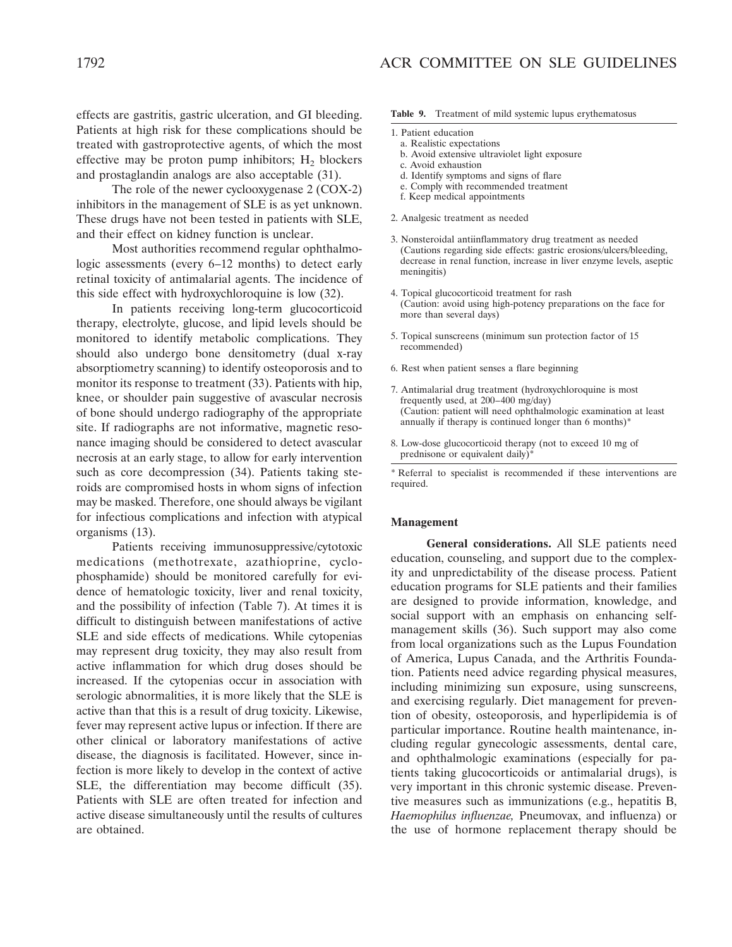effects are gastritis, gastric ulceration, and GI bleeding. Patients at high risk for these complications should be treated with gastroprotective agents, of which the most effective may be proton pump inhibitors;  $H_2$  blockers and prostaglandin analogs are also acceptable (31).

The role of the newer cyclooxygenase 2 (COX-2) inhibitors in the management of SLE is as yet unknown. These drugs have not been tested in patients with SLE, and their effect on kidney function is unclear.

Most authorities recommend regular ophthalmologic assessments (every 6–12 months) to detect early retinal toxicity of antimalarial agents. The incidence of this side effect with hydroxychloroquine is low (32).

In patients receiving long-term glucocorticoid therapy, electrolyte, glucose, and lipid levels should be monitored to identify metabolic complications. They should also undergo bone densitometry (dual x-ray absorptiometry scanning) to identify osteoporosis and to monitor its response to treatment (33). Patients with hip, knee, or shoulder pain suggestive of avascular necrosis of bone should undergo radiography of the appropriate site. If radiographs are not informative, magnetic resonance imaging should be considered to detect avascular necrosis at an early stage, to allow for early intervention such as core decompression (34). Patients taking steroids are compromised hosts in whom signs of infection may be masked. Therefore, one should always be vigilant for infectious complications and infection with atypical organisms (13).

Patients receiving immunosuppressive/cytotoxic medications (methotrexate, azathioprine, cyclophosphamide) should be monitored carefully for evidence of hematologic toxicity, liver and renal toxicity, and the possibility of infection (Table 7). At times it is difficult to distinguish between manifestations of active SLE and side effects of medications. While cytopenias may represent drug toxicity, they may also result from active inflammation for which drug doses should be increased. If the cytopenias occur in association with serologic abnormalities, it is more likely that the SLE is active than that this is a result of drug toxicity. Likewise, fever may represent active lupus or infection. If there are other clinical or laboratory manifestations of active disease, the diagnosis is facilitated. However, since infection is more likely to develop in the context of active SLE, the differentiation may become difficult (35). Patients with SLE are often treated for infection and active disease simultaneously until the results of cultures are obtained.

#### **Table 9.** Treatment of mild systemic lupus erythematosus

#### 1. Patient education

- a. Realistic expectations
- b. Avoid extensive ultraviolet light exposure
- c. Avoid exhaustion
- d. Identify symptoms and signs of flare e. Comply with recommended treatment
- f. Keep medical appointments
- 
- 2. Analgesic treatment as needed
- 3. Nonsteroidal antiinflammatory drug treatment as needed (Cautions regarding side effects: gastric erosions/ulcers/bleeding, decrease in renal function, increase in liver enzyme levels, aseptic meningitis)
- 4. Topical glucocorticoid treatment for rash (Caution: avoid using high-potency preparations on the face for more than several days)
- 5. Topical sunscreens (minimum sun protection factor of 15 recommended)
- 6. Rest when patient senses a flare beginning
- 7. Antimalarial drug treatment (hydroxychloroquine is most frequently used, at 200–400 mg/day) (Caution: patient will need ophthalmologic examination at least annually if therapy is continued longer than 6 months)\*
- 8. Low-dose glucocorticoid therapy (not to exceed 10 mg of prednisone or equivalent daily)\*

\* Referral to specialist is recommended if these interventions are required.

#### **Management**

**General considerations.** All SLE patients need education, counseling, and support due to the complexity and unpredictability of the disease process. Patient education programs for SLE patients and their families are designed to provide information, knowledge, and social support with an emphasis on enhancing selfmanagement skills (36). Such support may also come from local organizations such as the Lupus Foundation of America, Lupus Canada, and the Arthritis Foundation. Patients need advice regarding physical measures, including minimizing sun exposure, using sunscreens, and exercising regularly. Diet management for prevention of obesity, osteoporosis, and hyperlipidemia is of particular importance. Routine health maintenance, including regular gynecologic assessments, dental care, and ophthalmologic examinations (especially for patients taking glucocorticoids or antimalarial drugs), is very important in this chronic systemic disease. Preventive measures such as immunizations (e.g., hepatitis B, *Haemophilus influenzae,* Pneumovax, and influenza) or the use of hormone replacement therapy should be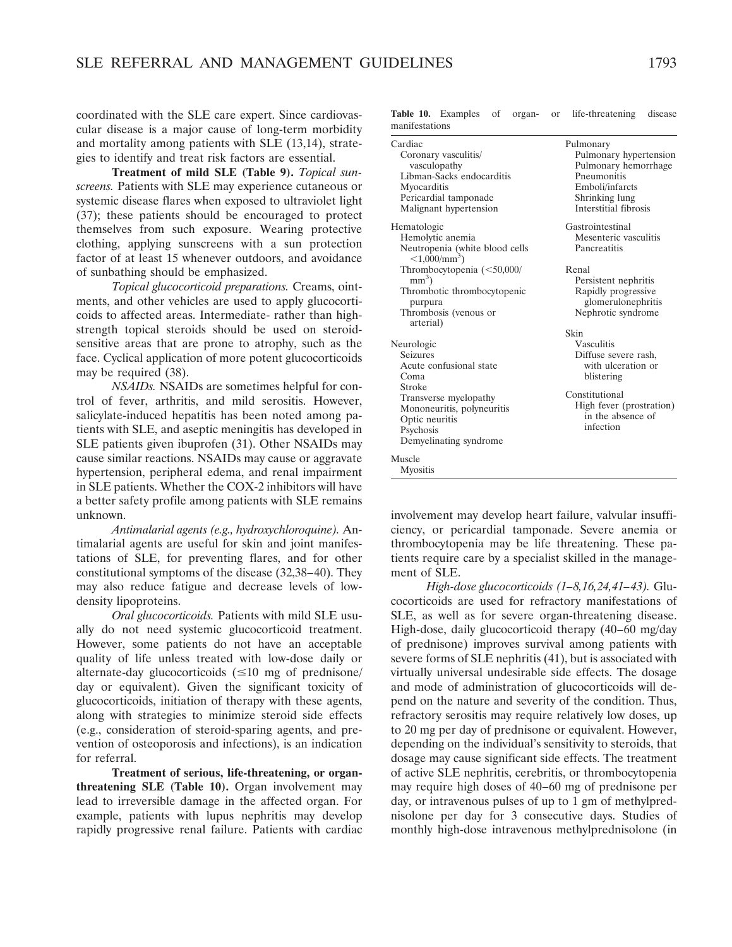coordinated with the SLE care expert. Since cardiovascular disease is a major cause of long-term morbidity and mortality among patients with SLE (13,14), strategies to identify and treat risk factors are essential.

**Treatment of mild SLE (Table 9).** *Topical sunscreens.* Patients with SLE may experience cutaneous or systemic disease flares when exposed to ultraviolet light (37); these patients should be encouraged to protect themselves from such exposure. Wearing protective clothing, applying sunscreens with a sun protection factor of at least 15 whenever outdoors, and avoidance of sunbathing should be emphasized.

*Topical glucocorticoid preparations.* Creams, ointments, and other vehicles are used to apply glucocorticoids to affected areas. Intermediate- rather than highstrength topical steroids should be used on steroidsensitive areas that are prone to atrophy, such as the face. Cyclical application of more potent glucocorticoids may be required (38).

*NSAIDs.* NSAIDs are sometimes helpful for control of fever, arthritis, and mild serositis. However, salicylate-induced hepatitis has been noted among patients with SLE, and aseptic meningitis has developed in SLE patients given ibuprofen (31). Other NSAIDs may cause similar reactions. NSAIDs may cause or aggravate hypertension, peripheral edema, and renal impairment in SLE patients. Whether the COX-2 inhibitors will have a better safety profile among patients with SLE remains unknown.

*Antimalarial agents (e.g., hydroxychloroquine).* Antimalarial agents are useful for skin and joint manifestations of SLE, for preventing flares, and for other constitutional symptoms of the disease (32,38–40). They may also reduce fatigue and decrease levels of lowdensity lipoproteins.

*Oral glucocorticoids.* Patients with mild SLE usually do not need systemic glucocorticoid treatment. However, some patients do not have an acceptable quality of life unless treated with low-dose daily or alternate-day glucocorticoids  $(\leq 10$  mg of prednisone/ day or equivalent). Given the significant toxicity of glucocorticoids, initiation of therapy with these agents, along with strategies to minimize steroid side effects (e.g., consideration of steroid-sparing agents, and prevention of osteoporosis and infections), is an indication for referral.

**Treatment of serious, life-threatening, or organthreatening SLE (Table 10).** Organ involvement may lead to irreversible damage in the affected organ. For example, patients with lupus nephritis may develop rapidly progressive renal failure. Patients with cardiac

**Table 10.** Examples of organ- or life-threatening disease manifestations

| Cardiac                                                      | Pulmonary                |
|--------------------------------------------------------------|--------------------------|
| Coronary vasculitis/                                         | Pulmonary hypertension   |
| vasculopathy                                                 | Pulmonary hemorrhage     |
| Libman-Sacks endocarditis                                    | Pneumonitis              |
| Myocarditis                                                  | Emboli/infarcts          |
| Pericardial tamponade                                        | Shrinking lung           |
| Malignant hypertension                                       | Interstitial fibrosis    |
| Hematologic                                                  | Gastrointestinal         |
| Hemolytic anemia                                             | Mesenteric vasculitis    |
| Neutropenia (white blood cells<br>$\leq 1,000/\text{mm}^3$ ) | Pancreatitis             |
| Thrombocytopenia $(<50,000/$                                 | Renal                    |
| $mm3$ )                                                      | Persistent nephritis     |
| Thrombotic thrombocytopenic                                  | Rapidly progressive      |
| purpura                                                      | glomerulonephritis       |
| Thrombosis (venous or                                        | Nephrotic syndrome       |
| arterial)                                                    |                          |
|                                                              | Skin                     |
| Neurologic                                                   | <b>Vasculitis</b>        |
| Seizures                                                     | Diffuse severe rash,     |
| Acute confusional state                                      | with ulceration or       |
| Coma                                                         | blistering               |
| Stroke                                                       | Constitutional           |
| Transverse myelopathy                                        | High fever (prostration) |
| Mononeuritis, polyneuritis                                   | in the absence of        |
| Optic neuritis                                               | infection                |
| Psychosis                                                    |                          |
| Demyelinating syndrome                                       |                          |
| Muscle                                                       |                          |
| <b>Myositis</b>                                              |                          |

involvement may develop heart failure, valvular insufficiency, or pericardial tamponade. Severe anemia or thrombocytopenia may be life threatening. These patients require care by a specialist skilled in the management of SLE.

*High-dose glucocorticoids (1–8,16,24,41–43).* Glucocorticoids are used for refractory manifestations of SLE, as well as for severe organ-threatening disease. High-dose, daily glucocorticoid therapy (40–60 mg/day of prednisone) improves survival among patients with severe forms of SLE nephritis (41), but is associated with virtually universal undesirable side effects. The dosage and mode of administration of glucocorticoids will depend on the nature and severity of the condition. Thus, refractory serositis may require relatively low doses, up to 20 mg per day of prednisone or equivalent. However, depending on the individual's sensitivity to steroids, that dosage may cause significant side effects. The treatment of active SLE nephritis, cerebritis, or thrombocytopenia may require high doses of 40–60 mg of prednisone per day, or intravenous pulses of up to 1 gm of methylprednisolone per day for 3 consecutive days. Studies of monthly high-dose intravenous methylprednisolone (in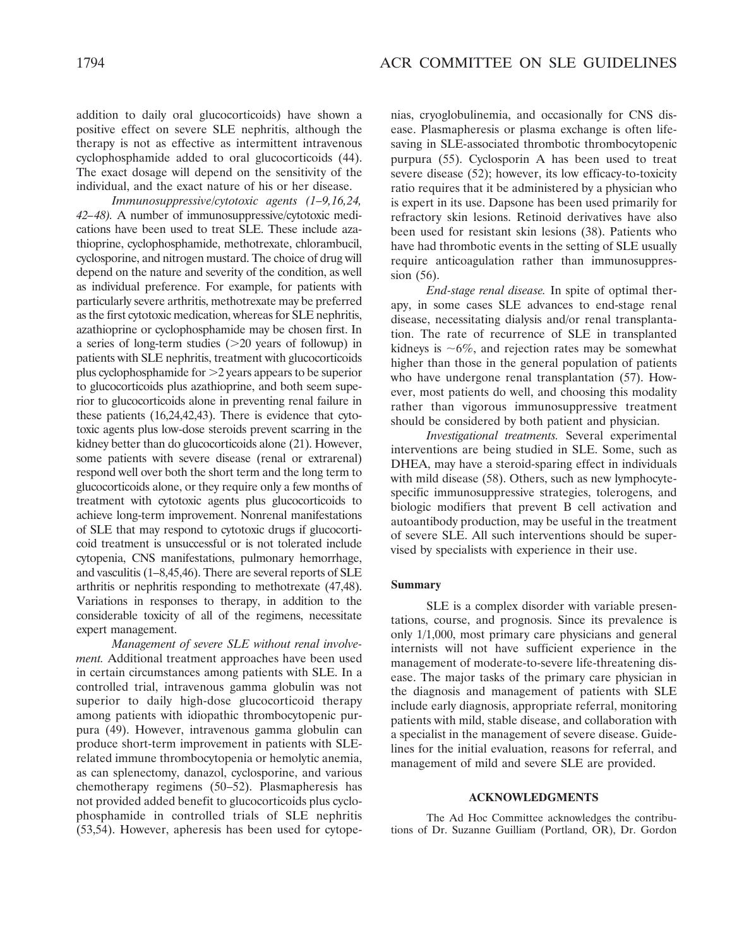addition to daily oral glucocorticoids) have shown a positive effect on severe SLE nephritis, although the therapy is not as effective as intermittent intravenous cyclophosphamide added to oral glucocorticoids (44). The exact dosage will depend on the sensitivity of the individual, and the exact nature of his or her disease.

*Immunosuppressive/cytotoxic agents (1–9,16,24, 42–48).* A number of immunosuppressive/cytotoxic medications have been used to treat SLE. These include azathioprine, cyclophosphamide, methotrexate, chlorambucil, cyclosporine, and nitrogen mustard. The choice of drug will depend on the nature and severity of the condition, as well as individual preference. For example, for patients with particularly severe arthritis, methotrexate may be preferred as the first cytotoxic medication, whereas for SLE nephritis, azathioprine or cyclophosphamide may be chosen first. In a series of long-term studies  $(>=20$  years of followup) in patients with SLE nephritis, treatment with glucocorticoids plus cyclophosphamide for  $>2$  years appears to be superior to glucocorticoids plus azathioprine, and both seem superior to glucocorticoids alone in preventing renal failure in these patients (16,24,42,43). There is evidence that cytotoxic agents plus low-dose steroids prevent scarring in the kidney better than do glucocorticoids alone (21). However, some patients with severe disease (renal or extrarenal) respond well over both the short term and the long term to glucocorticoids alone, or they require only a few months of treatment with cytotoxic agents plus glucocorticoids to achieve long-term improvement. Nonrenal manifestations of SLE that may respond to cytotoxic drugs if glucocorticoid treatment is unsuccessful or is not tolerated include cytopenia, CNS manifestations, pulmonary hemorrhage, and vasculitis (1–8,45,46). There are several reports of SLE arthritis or nephritis responding to methotrexate (47,48). Variations in responses to therapy, in addition to the considerable toxicity of all of the regimens, necessitate expert management.

*Management of severe SLE without renal involvement.* Additional treatment approaches have been used in certain circumstances among patients with SLE. In a controlled trial, intravenous gamma globulin was not superior to daily high-dose glucocorticoid therapy among patients with idiopathic thrombocytopenic purpura (49). However, intravenous gamma globulin can produce short-term improvement in patients with SLErelated immune thrombocytopenia or hemolytic anemia, as can splenectomy, danazol, cyclosporine, and various chemotherapy regimens (50–52). Plasmapheresis has not provided added benefit to glucocorticoids plus cyclophosphamide in controlled trials of SLE nephritis (53,54). However, apheresis has been used for cytope-

nias, cryoglobulinemia, and occasionally for CNS disease. Plasmapheresis or plasma exchange is often lifesaving in SLE-associated thrombotic thrombocytopenic purpura (55). Cyclosporin A has been used to treat severe disease (52); however, its low efficacy-to-toxicity ratio requires that it be administered by a physician who is expert in its use. Dapsone has been used primarily for refractory skin lesions. Retinoid derivatives have also been used for resistant skin lesions (38). Patients who have had thrombotic events in the setting of SLE usually require anticoagulation rather than immunosuppression (56).

*End-stage renal disease.* In spite of optimal therapy, in some cases SLE advances to end-stage renal disease, necessitating dialysis and/or renal transplantation. The rate of recurrence of SLE in transplanted kidneys is  $\sim 6\%$ , and rejection rates may be somewhat higher than those in the general population of patients who have undergone renal transplantation (57). However, most patients do well, and choosing this modality rather than vigorous immunosuppressive treatment should be considered by both patient and physician.

*Investigational treatments.* Several experimental interventions are being studied in SLE. Some, such as DHEA, may have a steroid-sparing effect in individuals with mild disease (58). Others, such as new lymphocytespecific immunosuppressive strategies, tolerogens, and biologic modifiers that prevent B cell activation and autoantibody production, may be useful in the treatment of severe SLE. All such interventions should be supervised by specialists with experience in their use.

#### **Summary**

SLE is a complex disorder with variable presentations, course, and prognosis. Since its prevalence is only 1/1,000, most primary care physicians and general internists will not have sufficient experience in the management of moderate-to-severe life-threatening disease. The major tasks of the primary care physician in the diagnosis and management of patients with SLE include early diagnosis, appropriate referral, monitoring patients with mild, stable disease, and collaboration with a specialist in the management of severe disease. Guidelines for the initial evaluation, reasons for referral, and management of mild and severe SLE are provided.

#### **ACKNOWLEDGMENTS**

The Ad Hoc Committee acknowledges the contributions of Dr. Suzanne Guilliam (Portland, OR), Dr. Gordon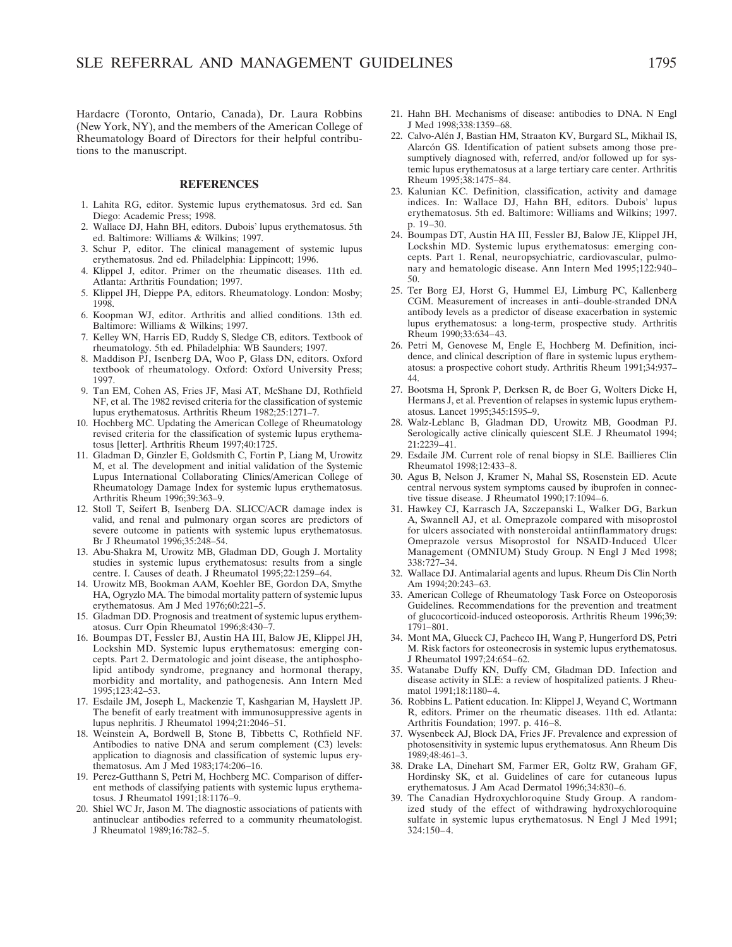Hardacre (Toronto, Ontario, Canada), Dr. Laura Robbins (New York, NY), and the members of the American College of Rheumatology Board of Directors for their helpful contributions to the manuscript.

#### **REFERENCES**

- 1. Lahita RG, editor. Systemic lupus erythematosus. 3rd ed. San Diego: Academic Press; 1998.
- 2. Wallace DJ, Hahn BH, editors. Dubois' lupus erythematosus. 5th ed. Baltimore: Williams & Wilkins; 1997.
- 3. Schur P, editor. The clinical management of systemic lupus erythematosus. 2nd ed. Philadelphia: Lippincott; 1996.
- 4. Klippel J, editor. Primer on the rheumatic diseases. 11th ed. Atlanta: Arthritis Foundation; 1997.
- 5. Klippel JH, Dieppe PA, editors. Rheumatology. London: Mosby; 1998.
- 6. Koopman WJ, editor. Arthritis and allied conditions. 13th ed. Baltimore: Williams & Wilkins; 1997.
- 7. Kelley WN, Harris ED, Ruddy S, Sledge CB, editors. Textbook of rheumatology. 5th ed. Philadelphia: WB Saunders; 1997.
- 8. Maddison PJ, Isenberg DA, Woo P, Glass DN, editors. Oxford textbook of rheumatology. Oxford: Oxford University Press; 1997.
- 9. Tan EM, Cohen AS, Fries JF, Masi AT, McShane DJ, Rothfield NF, et al. The 1982 revised criteria for the classification of systemic lupus erythematosus. Arthritis Rheum 1982;25:1271–7.
- 10. Hochberg MC. Updating the American College of Rheumatology revised criteria for the classification of systemic lupus erythematosus [letter]. Arthritis Rheum 1997;40:1725.
- 11. Gladman D, Ginzler E, Goldsmith C, Fortin P, Liang M, Urowitz M, et al. The development and initial validation of the Systemic Lupus International Collaborating Clinics/American College of Rheumatology Damage Index for systemic lupus erythematosus. Arthritis Rheum 1996;39:363–9.
- 12. Stoll T, Seifert B, Isenberg DA. SLICC/ACR damage index is valid, and renal and pulmonary organ scores are predictors of severe outcome in patients with systemic lupus erythematosus. Br J Rheumatol 1996;35:248–54.
- 13. Abu-Shakra M, Urowitz MB, Gladman DD, Gough J. Mortality studies in systemic lupus erythematosus: results from a single centre. I. Causes of death. J Rheumatol 1995;22:1259–64.
- 14. Urowitz MB, Bookman AAM, Koehler BE, Gordon DA, Smythe HA, Ogryzlo MA. The bimodal mortality pattern of systemic lupus erythematosus. Am J Med 1976;60:221–5.
- 15. Gladman DD. Prognosis and treatment of systemic lupus erythematosus. Curr Opin Rheumatol 1996;8:430–7.
- 16. Boumpas DT, Fessler BJ, Austin HA III, Balow JE, Klippel JH, Lockshin MD. Systemic lupus erythematosus: emerging concepts. Part 2. Dermatologic and joint disease, the antiphospholipid antibody syndrome, pregnancy and hormonal therapy, morbidity and mortality, and pathogenesis. Ann Intern Med 1995;123:42–53.
- 17. Esdaile JM, Joseph L, Mackenzie T, Kashgarian M, Hayslett JP. The benefit of early treatment with immunosuppressive agents in lupus nephritis. J Rheumatol 1994;21:2046–51.
- 18. Weinstein A, Bordwell B, Stone B, Tibbetts C, Rothfield NF. Antibodies to native DNA and serum complement (C3) levels: application to diagnosis and classification of systemic lupus erythematosus. Am J Med 1983;174:206–16.
- 19. Perez-Gutthann S, Petri M, Hochberg MC. Comparison of different methods of classifying patients with systemic lupus erythematosus. J Rheumatol 1991;18:1176–9.
- 20. Shiel WC Jr, Jason M. The diagnostic associations of patients with antinuclear antibodies referred to a community rheumatologist. J Rheumatol 1989;16:782–5.
- 21. Hahn BH. Mechanisms of disease: antibodies to DNA. N Engl J Med 1998;338:1359–68.
- 22. Calvo-Alén J, Bastian HM, Straaton KV, Burgard SL, Mikhail IS, Alarcón GS. Identification of patient subsets among those presumptively diagnosed with, referred, and/or followed up for systemic lupus erythematosus at a large tertiary care center. Arthritis Rheum 1995;38:1475–84.
- 23. Kalunian KC. Definition, classification, activity and damage indices. In: Wallace DJ, Hahn BH, editors. Dubois' lupus erythematosus. 5th ed. Baltimore: Williams and Wilkins; 1997. p. 19–30.
- 24. Boumpas DT, Austin HA III, Fessler BJ, Balow JE, Klippel JH, Lockshin MD. Systemic lupus erythematosus: emerging concepts. Part 1. Renal, neuropsychiatric, cardiovascular, pulmonary and hematologic disease. Ann Intern Med 1995;122:940– 50.
- 25. Ter Borg EJ, Horst G, Hummel EJ, Limburg PC, Kallenberg CGM. Measurement of increases in anti–double-stranded DNA antibody levels as a predictor of disease exacerbation in systemic lupus erythematosus: a long-term, prospective study. Arthritis Rheum 1990;33:634–43.
- 26. Petri M, Genovese M, Engle E, Hochberg M. Definition, incidence, and clinical description of flare in systemic lupus erythematosus: a prospective cohort study. Arthritis Rheum 1991;34:937– 44.
- 27. Bootsma H, Spronk P, Derksen R, de Boer G, Wolters Dicke H, Hermans J, et al. Prevention of relapses in systemic lupus erythematosus. Lancet 1995;345:1595–9.
- 28. Walz-Leblanc B, Gladman DD, Urowitz MB, Goodman PJ. Serologically active clinically quiescent SLE. J Rheumatol 1994; 21:2239–41.
- 29. Esdaile JM. Current role of renal biopsy in SLE. Baillieres Clin Rheumatol 1998;12:433–8.
- 30. Agus B, Nelson J, Kramer N, Mahal SS, Rosenstein ED. Acute central nervous system symptoms caused by ibuprofen in connective tissue disease. J Rheumatol 1990;17:1094–6.
- 31. Hawkey CJ, Karrasch JA, Szczepanski L, Walker DG, Barkun A, Swannell AJ, et al. Omeprazole compared with misoprostol for ulcers associated with nonsteroidal antiinflammatory drugs: Omeprazole versus Misoprostol for NSAID-Induced Ulcer Management (OMNIUM) Study Group. N Engl J Med 1998; 338:727–34.
- 32. Wallace DJ. Antimalarial agents and lupus. Rheum Dis Clin North Am 1994;20:243–63.
- 33. American College of Rheumatology Task Force on Osteoporosis Guidelines. Recommendations for the prevention and treatment of glucocorticoid-induced osteoporosis. Arthritis Rheum 1996;39: 1791–801.
- 34. Mont MA, Glueck CJ, Pacheco IH, Wang P, Hungerford DS, Petri M. Risk factors for osteonecrosis in systemic lupus erythematosus. J Rheumatol 1997;24:654–62.
- 35. Watanabe Duffy KN, Duffy CM, Gladman DD. Infection and disease activity in SLE: a review of hospitalized patients. J Rheumatol 1991;18:1180–4.
- 36. Robbins L. Patient education. In: Klippel J, Weyand C, Wortmann R, editors. Primer on the rheumatic diseases. 11th ed. Atlanta: Arthritis Foundation; 1997. p. 416–8.
- 37. Wysenbeek AJ, Block DA, Fries JF. Prevalence and expression of photosensitivity in systemic lupus erythematosus. Ann Rheum Dis 1989;48:461–3.
- 38. Drake LA, Dinehart SM, Farmer ER, Goltz RW, Graham GF, Hordinsky SK, et al. Guidelines of care for cutaneous lupus erythematosus. J Am Acad Dermatol 1996;34:830–6.
- 39. The Canadian Hydroxychloroquine Study Group. A randomized study of the effect of withdrawing hydroxychloroquine sulfate in systemic lupus erythematosus. N Engl J Med 1991; 324:150–4.